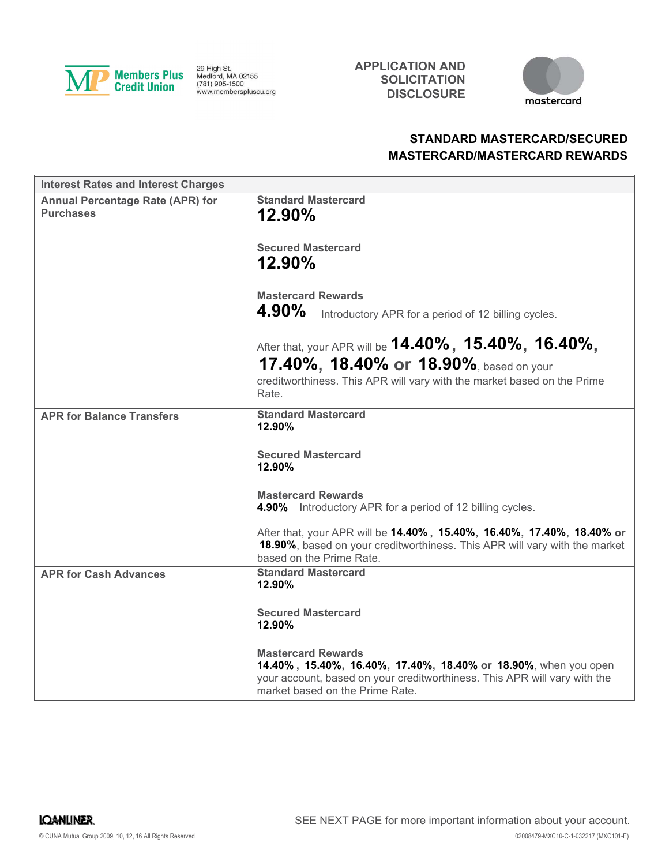

29 High St.<br>Medford, MA 02155<br>(781) 905-1500 www.memberspluscu.org APPLICATION AND **SOLICITATION DISCLOSURE** 



# STANDARD MASTERCARD/SECURED MASTERCARD/MASTERCARD REWARDS

| <b>Interest Rates and Interest Charges</b>                  |                                                                                                                                                                                                              |
|-------------------------------------------------------------|--------------------------------------------------------------------------------------------------------------------------------------------------------------------------------------------------------------|
| <b>Annual Percentage Rate (APR) for</b><br><b>Purchases</b> | <b>Standard Mastercard</b><br>12.90%                                                                                                                                                                         |
|                                                             | <b>Secured Mastercard</b><br>$12.90\%$                                                                                                                                                                       |
|                                                             | <b>Mastercard Rewards</b><br>4.90%<br>Introductory APR for a period of 12 billing cycles.                                                                                                                    |
|                                                             | After that, your APR will be $14.40\%$ , $15.40\%$ , $16.40\%$ ,<br>17.40%, 18.40% or 18.90%, based on your<br>creditworthiness. This APR will vary with the market based on the Prime                       |
|                                                             | Rate.                                                                                                                                                                                                        |
| <b>APR for Balance Transfers</b>                            | <b>Standard Mastercard</b><br>12.90%                                                                                                                                                                         |
|                                                             | <b>Secured Mastercard</b><br>12.90%                                                                                                                                                                          |
|                                                             | <b>Mastercard Rewards</b><br><b>4.90%</b> Introductory APR for a period of 12 billing cycles.                                                                                                                |
|                                                             | After that, your APR will be 14.40%, 15.40%, 16.40%, 17.40%, 18.40% or<br>18.90%, based on your creditworthiness. This APR will vary with the market<br>based on the Prime Rate.                             |
| <b>APR for Cash Advances</b>                                | <b>Standard Mastercard</b><br>12.90%                                                                                                                                                                         |
|                                                             | <b>Secured Mastercard</b><br>12.90%                                                                                                                                                                          |
|                                                             | <b>Mastercard Rewards</b><br>14.40%, 15.40%, 16.40%, 17.40%, 18.40% or 18.90%, when you open<br>your account, based on your creditworthiness. This APR will vary with the<br>market based on the Prime Rate. |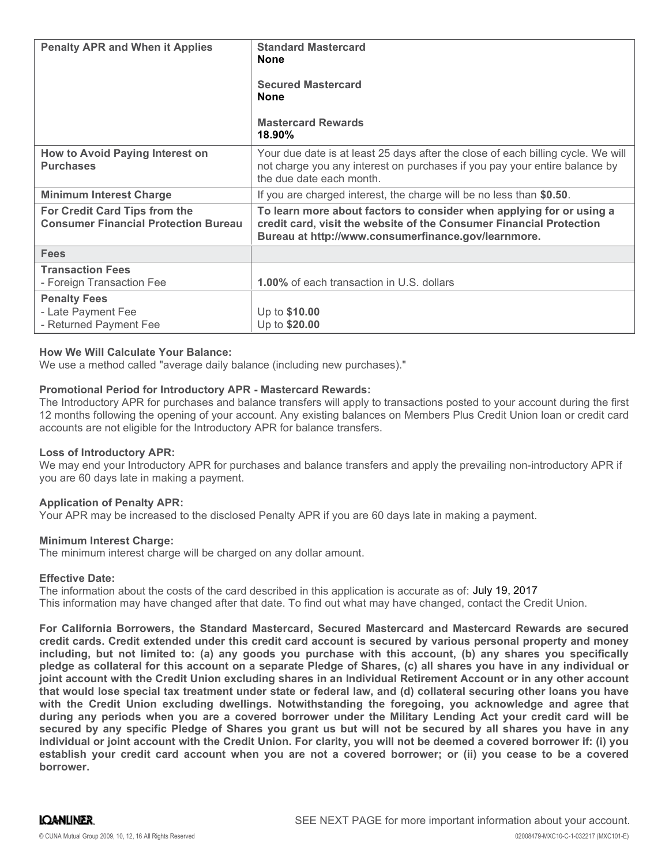| <b>Penalty APR and When it Applies</b>                                       | <b>Standard Mastercard</b><br><b>None</b><br><b>Secured Mastercard</b><br><b>None</b><br><b>Mastercard Rewards</b><br>$18.90\%$                                                                    |
|------------------------------------------------------------------------------|----------------------------------------------------------------------------------------------------------------------------------------------------------------------------------------------------|
| How to Avoid Paying Interest on<br><b>Purchases</b>                          | Your due date is at least 25 days after the close of each billing cycle. We will<br>not charge you any interest on purchases if you pay your entire balance by<br>the due date each month.         |
| <b>Minimum Interest Charge</b>                                               | If you are charged interest, the charge will be no less than \$0.50.                                                                                                                               |
| For Credit Card Tips from the<br><b>Consumer Financial Protection Bureau</b> | To learn more about factors to consider when applying for or using a<br>credit card, visit the website of the Consumer Financial Protection<br>Bureau at http://www.consumerfinance.gov/learnmore. |
| <b>Fees</b>                                                                  |                                                                                                                                                                                                    |
| <b>Transaction Fees</b><br>- Foreign Transaction Fee                         | 1.00% of each transaction in U.S. dollars                                                                                                                                                          |
| <b>Penalty Fees</b><br>- Late Payment Fee<br>- Returned Payment Fee          | Up to \$10.00<br>Up to \$20.00                                                                                                                                                                     |

### How We Will Calculate Your Balance:

We use a method called "average daily balance (including new purchases)."

## Promotional Period for Introductory APR - Mastercard Rewards:

The Introductory APR for purchases and balance transfers will apply to transactions posted to your account during the first 12 months following the opening of your account. Any existing balances on Members Plus Credit Union loan or credit card accounts are not eligible for the Introductory APR for balance transfers.

#### Loss of Introductory APR:

We may end your Introductory APR for purchases and balance transfers and apply the prevailing non-introductory APR if you are 60 days late in making a payment.

#### Application of Penalty APR:

Your APR may be increased to the disclosed Penalty APR if you are 60 days late in making a payment.

#### Minimum Interest Charge:

The minimum interest charge will be charged on any dollar amount.

#### Effective Date:

The information about the costs of the card described in this application is accurate as of: July 19, 2017This information may have changed after that date. To find out what may have changed, contact the Credit Union.

For California Borrowers, the Standard Mastercard, Secured Mastercard and Mastercard Rewards are secured credit cards. Credit extended under this credit card account is secured by various personal property and money including, but not limited to: (a) any goods you purchase with this account, (b) any shares you specifically pledge as collateral for this account on a separate Pledge of Shares, (c) all shares you have in any individual or joint account with the Credit Union excluding shares in an Individual Retirement Account or in any other account that would lose special tax treatment under state or federal law, and (d) collateral securing other loans you have with the Credit Union excluding dwellings. Notwithstanding the foregoing, you acknowledge and agree that during any periods when you are a covered borrower under the Military Lending Act your credit card will be secured by any specific Pledge of Shares you grant us but will not be secured by all shares you have in any individual or joint account with the Credit Union. For clarity, you will not be deemed a covered borrower if: (i) you establish your credit card account when you are not a covered borrower; or (ii) you cease to be a covered borrower.